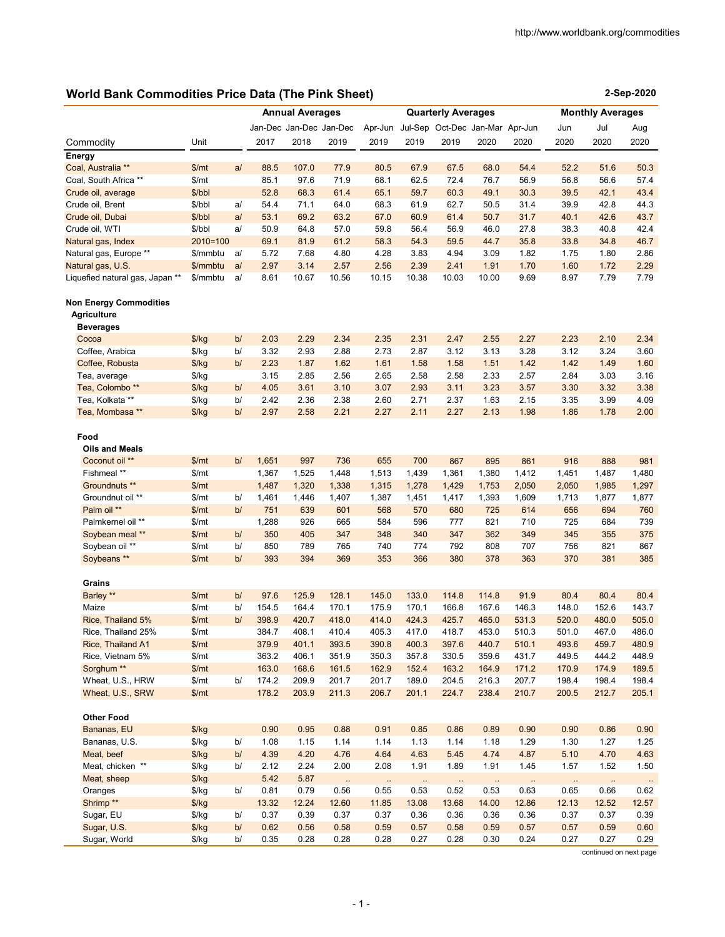**2-Sep-2020**

# **World Bank Commodities Price Data (The Pink Sheet)**

|                                              |                |    | <b>Annual Averages</b> |                         |           | <b>Quarterly Averages</b> |           |                                 |          | <b>Monthly Averages</b> |       |          |           |
|----------------------------------------------|----------------|----|------------------------|-------------------------|-----------|---------------------------|-----------|---------------------------------|----------|-------------------------|-------|----------|-----------|
|                                              |                |    |                        | Jan-Dec Jan-Dec Jan-Dec |           | Apr-Jun                   |           | Jul-Sep Oct-Dec Jan-Mar Apr-Jun |          |                         | Jun   | Jul      | Aug       |
| Commodity                                    | Unit           |    | 2017                   | 2018                    | 2019      | 2019                      | 2019      | 2019                            | 2020     | 2020                    | 2020  | 2020     | 2020      |
| Energy                                       |                |    |                        |                         |           |                           |           |                                 |          |                         |       |          |           |
| Coal, Australia <sup>**</sup>                | \$/mt          | a/ | 88.5                   | 107.0                   | 77.9      | 80.5                      | 67.9      | 67.5                            | 68.0     | 54.4                    | 52.2  | 51.6     | 50.3      |
| Coal, South Africa **                        | \$/mt          |    | 85.1                   | 97.6                    | 71.9      | 68.1                      | 62.5      | 72.4                            | 76.7     | 56.9                    | 56.8  | 56.6     | 57.4      |
| Crude oil, average                           | \$/bbl         |    | 52.8                   | 68.3                    | 61.4      | 65.1                      | 59.7      | 60.3                            | 49.1     | 30.3                    | 39.5  | 42.1     | 43.4      |
| Crude oil, Brent                             | \$/bbl         | a/ | 54.4                   | 71.1                    | 64.0      | 68.3                      | 61.9      | 62.7                            | 50.5     | 31.4                    | 39.9  | 42.8     | 44.3      |
| Crude oil, Dubai                             | \$/bbl         | a/ | 53.1                   | 69.2                    | 63.2      | 67.0                      | 60.9      | 61.4                            | 50.7     | 31.7                    | 40.1  | 42.6     | 43.7      |
| Crude oil, WTI                               | \$/bbl         | a/ | 50.9                   | 64.8                    | 57.0      | 59.8                      | 56.4      | 56.9                            | 46.0     | 27.8                    | 38.3  | 40.8     | 42.4      |
| Natural gas, Index                           | $2010=100$     |    | 69.1                   | 81.9                    | 61.2      | 58.3                      | 54.3      | 59.5                            | 44.7     | 35.8                    | 33.8  | 34.8     | 46.7      |
| Natural gas, Europe **                       | \$/mmbtu       | a/ | 5.72                   | 7.68                    | 4.80      | 4.28                      | 3.83      | 4.94                            | 3.09     | 1.82                    | 1.75  | 1.80     | 2.86      |
| Natural gas, U.S.                            | \$/mmbtu       | a/ | 2.97                   | 3.14                    | 2.57      | 2.56                      | 2.39      | 2.41                            | 1.91     | 1.70                    | 1.60  | 1.72     | 2.29      |
| Liquefied natural gas, Japan **              | \$/mmbtu       | a/ | 8.61                   | 10.67                   | 10.56     | 10.15                     | 10.38     | 10.03                           | 10.00    | 9.69                    | 8.97  | 7.79     | 7.79      |
| Non Energy Commodities<br><b>Agriculture</b> |                |    |                        |                         |           |                           |           |                                 |          |                         |       |          |           |
| <b>Beverages</b>                             |                |    |                        |                         |           |                           |           |                                 |          |                         |       |          |           |
| Cocoa                                        | $\frac{f}{g}$  | b/ | 2.03                   | 2.29                    | 2.34      | 2.35                      | 2.31      | 2.47                            | 2.55     | 2.27                    | 2.23  | 2.10     | 2.34      |
| Coffee, Arabica                              | $\frac{f}{g}$  | b/ | 3.32                   | 2.93                    | 2.88      | 2.73                      | 2.87      | 3.12                            | 3.13     | 3.28                    | 3.12  | 3.24     | 3.60      |
| Coffee, Robusta                              | \$/kg          | b/ | 2.23                   | 1.87                    | 1.62      | 1.61                      | 1.58      | 1.58                            | 1.51     | 1.42                    | 1.42  | 1.49     | 1.60      |
| Tea, average                                 | $\frac{f}{g}$  |    | 3.15                   | 2.85                    | 2.56      | 2.65                      | 2.58      | 2.58                            | 2.33     | 2.57                    | 2.84  | 3.03     | 3.16      |
| Tea, Colombo <sup>**</sup>                   | $\frac{f}{g}$  | b/ | 4.05                   | 3.61                    | 3.10      | 3.07                      | 2.93      | 3.11                            | 3.23     | 3.57                    | 3.30  | 3.32     | 3.38      |
| Tea, Kolkata **                              | \$/kg          | b/ | 2.42                   | 2.36                    | 2.38      | 2.60                      | 2.71      | 2.37                            | 1.63     | 2.15                    | 3.35  | 3.99     | 4.09      |
| Tea, Mombasa **                              | \$/kg          | b/ | 2.97                   | 2.58                    | 2.21      | 2.27                      | 2.11      | 2.27                            | 2.13     | 1.98                    | 1.86  | 1.78     | 2.00      |
|                                              |                |    |                        |                         |           |                           |           |                                 |          |                         |       |          |           |
| Food                                         |                |    |                        |                         |           |                           |           |                                 |          |                         |       |          |           |
| <b>Oils and Meals</b>                        |                |    |                        |                         |           |                           |           |                                 |          |                         |       |          |           |
| Coconut oil **                               | \$/mt          | b/ | 1,651                  | 997                     | 736       | 655                       | 700       | 867                             | 895      | 861                     | 916   | 888      | 981       |
| Fishmeal **                                  | \$/mt          |    | 1,367                  | 1,525                   | 1,448     | 1,513                     | 1,439     | 1,361                           | 1,380    | 1,412                   | 1,451 | 1,487    | 1,480     |
| Groundnuts **                                | \$/mt          |    | 1,487                  | 1,320                   | 1,338     | 1,315                     | 1,278     | 1,429                           | 1,753    | 2,050                   | 2,050 | 1,985    | 1,297     |
| Groundnut oil **                             | \$/mt          | b/ | 1,461                  | 1,446                   | 1,407     | 1,387                     | 1,451     | 1,417                           | 1,393    | 1,609                   | 1,713 | 1,877    | 1,877     |
| Palm oil **                                  | \$/mt          | b/ | 751                    | 639                     | 601       | 568                       | 570       | 680                             | 725      | 614                     | 656   | 694      | 760       |
| Palmkernel oil **                            | \$/mt          |    | 1,288                  | 926                     | 665       | 584                       | 596       | 777                             | 821      | 710                     | 725   | 684      | 739       |
| Soybean meal **                              | \$/mt          | b/ | 350                    | 405                     | 347       | 348                       | 340       | 347                             | 362      | 349                     | 345   | 355      | 375       |
| Soybean oil **                               | \$/mt          | b/ | 850                    | 789                     | 765       | 740                       | 774       | 792                             | 808      | 707                     | 756   | 821      | 867       |
| Soybeans **                                  | \$/mt          | b/ | 393                    | 394                     | 369       | 353                       | 366       | 380                             | 378      | 363                     | 370   | 381      | 385       |
|                                              |                |    |                        |                         |           |                           |           |                                 |          |                         |       |          |           |
| Grains                                       |                |    |                        |                         |           |                           |           |                                 |          |                         |       |          |           |
| Barley **                                    | \$/mt          | b/ | 97.6                   | 125.9                   | 128.1     | 145.0                     | 133.0     | 114.8                           | 114.8    | 91.9                    | 80.4  | 80.4     | 80.4      |
| Maize                                        | \$/mt          | b/ | 154.5                  | 164.4                   | 170.1     | 175.9                     | 170.1     | 166.8                           | 167.6    | 146.3                   | 148.0 | 152.6    | 143.7     |
| Rice, Thailand 5%                            | \$/mt          | b/ | 398.9                  | 420.7                   | 418.0     | 414.0                     | 424.3     | 425.7                           | 465.0    | 531.3                   | 520.0 | 480.0    | 505.0     |
| Rice, I hailand 25%                          | \$/mt          |    | 384.7                  | 408.1                   | 410.4     | 405.3                     | 417.0     | 418.7                           | 453.0    | 510.3                   | 501.0 | 467.0    | 486.0     |
| Rice, Thailand A1                            | \$/mt          |    | 379.9                  | 401.1                   | 393.5     | 390.8                     | 400.3     | 397.6                           | 440.7    | 510.1                   | 493.6 | 459.7    | 480.9     |
| Rice, Vietnam 5%                             | \$/mt          |    | 363.2                  | 406.1                   | 351.9     | 350.3                     | 357.8     | 330.5                           | 359.6    | 431.7                   | 449.5 | 444.2    | 448.9     |
| Sorghum <sup>**</sup>                        | \$/mt          |    | 163.0                  | 168.6                   | 161.5     | 162.9                     | 152.4     | 163.2                           | 164.9    | 171.2                   | 170.9 | 174.9    | 189.5     |
| Wheat, U.S., HRW                             | \$/mt          | b/ | 174.2                  | 209.9                   | 201.7     | 201.7                     | 189.0     | 204.5                           | 216.3    | 207.7                   | 198.4 | 198.4    | 198.4     |
| Wheat, U.S., SRW                             | \$/mt          |    | 178.2                  | 203.9                   | 211.3     | 206.7                     | 201.1     | 224.7                           | 238.4    | 210.7                   | 200.5 | 212.7    | 205.1     |
| <b>Other Food</b>                            |                |    |                        |                         |           |                           |           |                                 |          |                         |       |          |           |
| Bananas, EU                                  |                |    | 0.90                   | 0.95                    | 0.88      | 0.91                      | 0.85      | 0.86                            | 0.89     | 0.90                    | 0.90  | 0.86     | 0.90      |
| Bananas, U.S.                                | \$/kg<br>\$/kg | b/ | 1.08                   | 1.15                    | 1.14      | 1.14                      | 1.13      | 1.14                            | 1.18     | 1.29                    | 1.30  | 1.27     | 1.25      |
| Meat, beef                                   |                | b/ | 4.39                   | 4.20                    | 4.76      | 4.64                      | 4.63      | 5.45                            | 4.74     | 4.87                    | 5.10  | 4.70     | 4.63      |
| Meat, chicken **                             | \$/kg          | b/ | 2.12                   | 2.24                    | 2.00      | 2.08                      | 1.91      | 1.89                            | 1.91     | 1.45                    | 1.57  | 1.52     | 1.50      |
|                                              | \$/kg          |    |                        |                         |           |                           |           |                                 |          |                         |       |          |           |
| Meat, sheep                                  | $\frac{f}{g}$  |    | 5.42                   | 5.87                    | $\ddotsc$ | $\ddotsc$                 | $\ddotsc$ | $\ddotsc$                       | $\ldots$ | $\ldots$                |       | $\ldots$ | $\ddotsc$ |
| Oranges                                      | \$/kg          | b/ | 0.81                   | 0.79                    | 0.56      | 0.55                      | 0.53      | 0.52                            | 0.53     | 0.63                    | 0.65  | 0.66     | 0.62      |
| Shrimp <sup>**</sup>                         | \$/kg          |    | 13.32                  | 12.24                   | 12.60     | 11.85                     | 13.08     | 13.68                           | 14.00    | 12.86                   | 12.13 | 12.52    | 12.57     |
| Sugar, EU                                    | \$/kg          | b/ | 0.37                   | 0.39                    | 0.37      | 0.37                      | 0.36      | 0.36                            | 0.36     | 0.36                    | 0.37  | 0.37     | 0.39      |
| Sugar, U.S.                                  | $\frac{f}{g}$  | b/ | 0.62                   | 0.56                    | 0.58      | 0.59                      | 0.57      | 0.58                            | 0.59     | 0.57                    | 0.57  | 0.59     | 0.60      |
| Sugar, World                                 | $\frac{f}{g}$  | b/ | 0.35                   | 0.28                    | 0.28      | 0.28                      | 0.27      | 0.28                            | 0.30     | 0.24                    | 0.27  | 0.27     | 0.29      |

continued on next page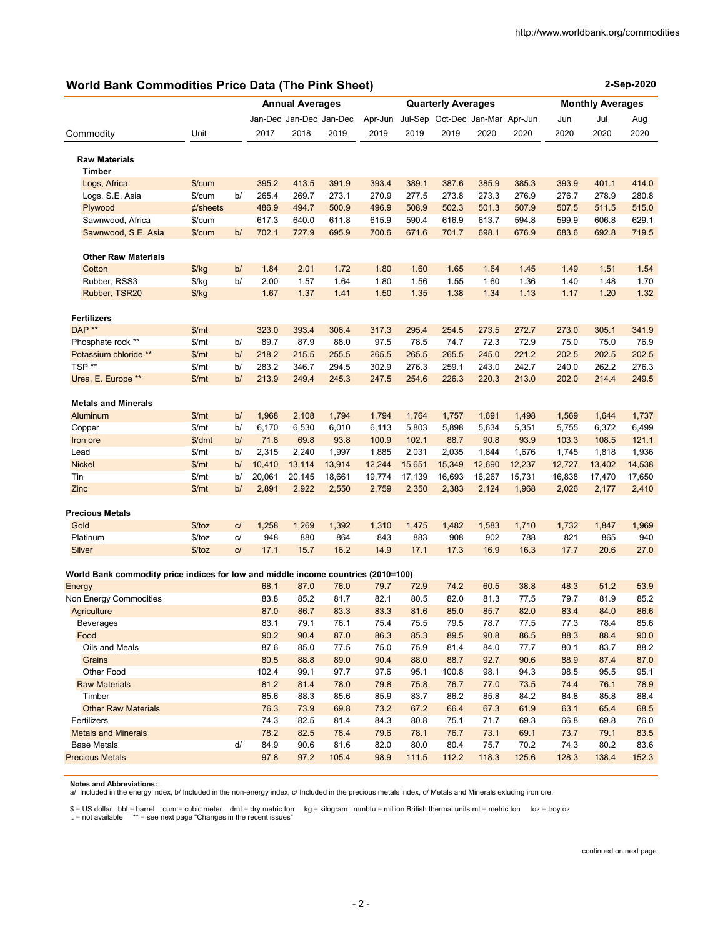## **World Bank Commodities Price Data (The Pink Sheet)**

| <b>World Bank Commodities Price Data (The Pink Sheet)</b>                         |                  |                        |                |                        |                         |                |                |                                 |                         | 2-Sep-2020     |                |                |                |
|-----------------------------------------------------------------------------------|------------------|------------------------|----------------|------------------------|-------------------------|----------------|----------------|---------------------------------|-------------------------|----------------|----------------|----------------|----------------|
|                                                                                   |                  |                        |                | <b>Annual Averages</b> |                         |                |                | <b>Quarterly Averages</b>       | <b>Monthly Averages</b> |                |                |                |                |
|                                                                                   |                  |                        |                |                        | Jan-Dec Jan-Dec Jan-Dec | Apr-Jun        |                | Jul-Sep Oct-Dec Jan-Mar Apr-Jun |                         |                | Jun            | Jul            | Aug            |
| Commodity                                                                         | Unit             |                        | 2017           | 2018                   | 2019                    | 2019           | 2019           | 2019                            | 2020                    | 2020           | 2020           | 2020           | 2020           |
|                                                                                   |                  |                        |                |                        |                         |                |                |                                 |                         |                |                |                |                |
| <b>Raw Materials</b>                                                              |                  |                        |                |                        |                         |                |                |                                 |                         |                |                |                |                |
| <b>Timber</b>                                                                     |                  |                        |                | 413.5                  |                         |                |                |                                 |                         |                |                |                |                |
| Logs, Africa<br>Logs, S.E. Asia                                                   | \$/cum<br>\$/cum | b/                     | 395.2<br>265.4 | 269.7                  | 391.9<br>273.1          | 393.4<br>270.9 | 389.1<br>277.5 | 387.6<br>273.8                  | 385.9<br>273.3          | 385.3<br>276.9 | 393.9<br>276.7 | 401.1<br>278.9 | 414.0<br>280.8 |
| Plywood                                                                           | $\phi$ /sheets   |                        | 486.9          | 494.7                  | 500.9                   | 496.9          | 508.9          | 502.3                           | 501.3                   | 507.9          | 507.5          | 511.5          | 515.0          |
| Sawnwood, Africa                                                                  | \$/cum           |                        | 617.3          | 640.0                  | 611.8                   | 615.9          | 590.4          | 616.9                           | 613.7                   | 594.8          | 599.9          | 606.8          | 629.1          |
| Sawnwood, S.E. Asia                                                               | \$/cum           | b/                     | 702.1          | 727.9                  | 695.9                   | 700.6          | 671.6          | 701.7                           | 698.1                   | 676.9          | 683.6          | 692.8          | 719.5          |
|                                                                                   |                  |                        |                |                        |                         |                |                |                                 |                         |                |                |                |                |
| <b>Other Raw Materials</b>                                                        |                  |                        |                |                        |                         |                |                |                                 |                         |                |                |                |                |
| Cotton                                                                            | $\frac{f}{g}$    | b/                     | 1.84           | 2.01                   | 1.72                    | 1.80           | 1.60           | 1.65                            | 1.64                    | 1.45           | 1.49           | 1.51           | 1.54           |
| Rubber, RSS3                                                                      | $\frac{f}{g}$    | b/                     | 2.00           | 1.57                   | 1.64                    | 1.80           | 1.56           | 1.55                            | 1.60                    | 1.36           | 1.40           | 1.48           | 1.70           |
| Rubber, TSR20                                                                     | $\frac{f}{g}$    |                        | 1.67           | 1.37                   | 1.41                    | 1.50           | 1.35           | 1.38                            | 1.34                    | 1.13           | 1.17           | 1.20           | 1.32           |
| <b>Fertilizers</b>                                                                |                  |                        |                |                        |                         |                |                |                                 |                         |                |                |                |                |
| DAP **                                                                            | \$/mt            |                        | 323.0          | 393.4                  | 306.4                   | 317.3          | 295.4          | 254.5                           | 273.5                   | 272.7          | 273.0          | 305.1          | 341.9          |
| Phosphate rock **                                                                 | \$/mt            | b/                     | 89.7           | 87.9                   | 88.0                    | 97.5           | 78.5           | 74.7                            | 72.3                    | 72.9           | 75.0           | 75.0           | 76.9           |
| Potassium chloride **                                                             | \$/mt            | b/                     | 218.2          | 215.5                  | 255.5                   | 265.5          | 265.5          | 265.5                           | 245.0                   | 221.2          | 202.5          | 202.5          | 202.5          |
| TSP**                                                                             | \$/mt            | b/                     | 283.2          | 346.7                  | 294.5                   | 302.9          | 276.3          | 259.1                           | 243.0                   | 242.7          | 240.0          | 262.2          | 276.3          |
| Urea, E. Europe **                                                                | \$/mt            | b/                     | 213.9          | 249.4                  | 245.3                   | 247.5          | 254.6          | 226.3                           | 220.3                   | 213.0          | 202.0          | 214.4          | 249.5          |
|                                                                                   |                  |                        |                |                        |                         |                |                |                                 |                         |                |                |                |                |
| <b>Metals and Minerals</b>                                                        |                  | b/                     |                |                        |                         |                |                |                                 |                         |                |                |                |                |
| Aluminum<br>Copper                                                                | \$/mt<br>\$/mt   | b/                     | 1,968<br>6,170 | 2,108<br>6,530         | 1,794<br>6,010          | 1,794<br>6,113 | 1,764<br>5,803 | 1,757<br>5,898                  | 1,691<br>5,634          | 1,498<br>5,351 | 1,569<br>5,755 | 1,644<br>6,372 | 1,737<br>6,499 |
| Iron ore                                                                          | \$/dmt           | b/                     | 71.8           | 69.8                   | 93.8                    | 100.9          | 102.1          | 88.7                            | 90.8                    | 93.9           | 103.3          | 108.5          | 121.1          |
| Lead                                                                              | \$/mt            | b/                     | 2,315          | 2,240                  | 1,997                   | 1,885          | 2,031          | 2,035                           | 1,844                   | 1,676          | 1,745          | 1,818          | 1,936          |
| <b>Nickel</b>                                                                     | \$/mt            | b/                     | 10,410         | 13,114                 | 13,914                  | 12,244         | 15,651         | 15,349                          | 12,690                  | 12,237         | 12,727         | 13,402         | 14,538         |
| Tin                                                                               | \$/mt            | b/                     | 20,061         | 20,145                 | 18,661                  | 19,774         | 17,139         | 16,693                          | 16,267                  | 15,731         | 16,838         | 17,470         | 17,650         |
| Zinc                                                                              | \$/mt            | b/                     | 2,891          | 2,922                  | 2,550                   | 2,759          | 2,350          | 2,383                           | 2,124                   | 1,968          | 2,026          | 2,177          | 2,410          |
|                                                                                   |                  |                        |                |                        |                         |                |                |                                 |                         |                |                |                |                |
| <b>Precious Metals</b>                                                            |                  |                        |                |                        |                         |                |                |                                 |                         |                |                |                |                |
| Gold                                                                              | \$/toz           | C/                     | 1,258          | 1,269                  | 1,392                   | 1,310          | 1,475          | 1,482                           | 1,583                   | 1,710          | 1,732          | 1,847          | 1,969          |
| Platinum                                                                          | \$/toz           | c/                     | 948            | 880                    | 864                     | 843            | 883            | 908                             | 902                     | 788            | 821            | 865            | 940            |
| Silver                                                                            | \$/toz           | C/                     | 17.1           | 15.7                   | 16.2                    | 14.9           | 17.1           | 17.3                            | 16.9                    | 16.3           | 17.7           | 20.6           | 27.0           |
| World Bank commodity price indices for low and middle income countries (2010=100) |                  |                        |                |                        |                         |                |                |                                 |                         |                |                |                |                |
| Energy                                                                            |                  |                        | 68.1           | 87.0                   | 76.0                    | 79.7           | 72.9           | 74.2                            | 60.5                    | 38.8           | 48.3           | 51.2           | 53.9           |
| Non Energy Commodities                                                            |                  |                        | 83.8           | 85.2                   | 81.7                    | 82.1           | 80.5           | 82.0                            | 81.3                    | 77.5           | 79.7           | 81.9           | 85.2           |
| Agriculture                                                                       |                  |                        | 87.0           | 86.7                   | 83.3                    | 83.3           | 81.6           | 85.0                            | 85.7                    | 82.0           | 83.4           | 84.0           | 86.6           |
| Beverages                                                                         |                  |                        | 83.1           | 79.1                   | 76.1                    | 75.4           | 75.5           | 79.5                            | 78.7                    | 77.5           | 77.3           | 78.4           | 85.6           |
| Food                                                                              |                  |                        | 90.2           | 90.4                   | 87.0                    | 86.3           | 85.3           | 89.5                            | 90.8                    | 86.5           | 88.3           | 88.4           | 90.0           |
| Oils and Meals                                                                    |                  |                        | 87.6           | 85.0                   | 77.5                    | 75.0           | 75.9           | 81.4                            | 84.0                    | 77.7           | 80.1           | 83.7           | 88.2           |
| Grains                                                                            |                  |                        | 80.5           | 88.8                   | 89.0                    | 90.4           | 88.0           | 88.7                            | 92.7                    | 90.6           | 88.9           | 87.4           | 87.0           |
| Other Food                                                                        |                  |                        | 102.4          | 99.1                   | 97.7                    | 97.6           | 95.1           | 100.8                           | 98.1                    | 94.3           | 98.5           | 95.5           | 95.1           |
| <b>Raw Materials</b>                                                              |                  |                        | 81.2           | 81.4                   | 78.0                    | 79.8           | 75.8           | 76.7                            | 77.0                    | 73.5           | 74.4           | 76.1           | 78.9           |
| Timber                                                                            |                  |                        | 85.6           | 88.3                   | 85.6                    | 85.9           | 83.7           | 86.2                            | 85.8                    | 84.2           | 84.8           | 85.8           | 88.4           |
| <b>Other Raw Materials</b>                                                        |                  |                        | 76.3           | 73.9                   | 69.8                    | 73.2           | 67.2           | 66.4                            | 67.3                    | 61.9           | 63.1           | 65.4           | 68.5           |
| Fertilizers                                                                       |                  |                        | 74.3           | 82.5                   | 81.4                    | 84.3           | 80.8           | 75.1                            | 71.7                    | 69.3           | 66.8           | 69.8           | 76.0           |
| <b>Metals and Minerals</b>                                                        |                  |                        | 78.2           | 82.5                   | 78.4                    | 79.6           | 78.1           | 76.7                            | 73.1                    | 69.1           | 73.7           | 79.1           | 83.5           |
| <b>Base Metals</b>                                                                |                  | $\mathsf{d}\mathsf{l}$ | 84.9           | 90.6                   | 81.6                    | 82.0           | 80.0           | 80.4                            | 75.7                    | 70.2           | 74.3           | 80.2           | 83.6           |
| <b>Precious Metals</b>                                                            |                  |                        | 97.8           | 97.2                   | 105.4                   | 98.9           | 111.5          | 112.2                           | 118.3                   | 125.6          | 128.3          | 138.4          | 152.3          |

**Notes and Abbreviations:** 

a/ Included in the energy index, b/ Included in the non-energy index, c/ Included in the precious metals index, d/ Metals and Minerals exluding iron ore.

\$ = US dollar bbl = barrel cum = cubic meter dmt = dry metric ton kg = kilogram mmbtu = million British thermal units mt = metric ton toz = troy oz<br>.. = not available \*\* = see next page "Changes in th